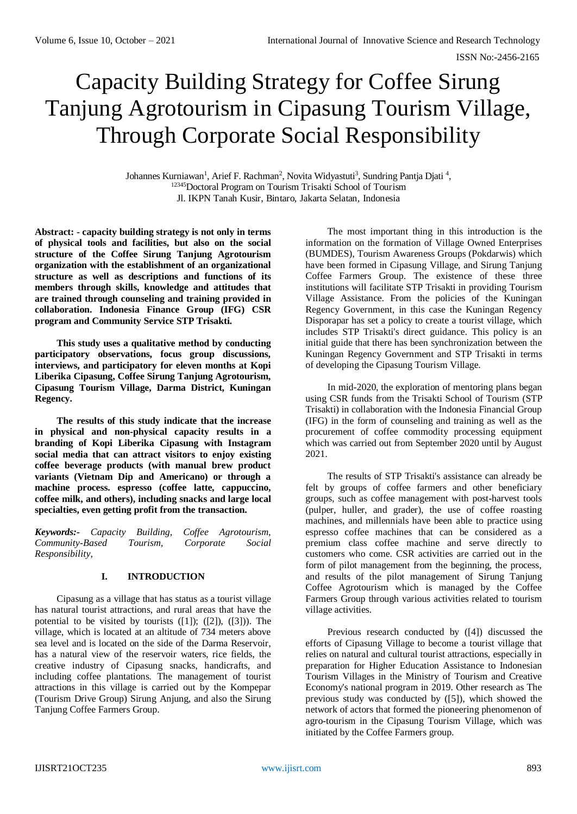# Capacity Building Strategy for Coffee Sirung Tanjung Agrotourism in Cipasung Tourism Village, Through Corporate Social Responsibility

Johannes Kurniawan<sup>1</sup>, Arief F. Rachman<sup>2</sup>, Novita Widyastuti<sup>3</sup>, Sundring Pantja Djati<sup>4</sup>, <sup>12345</sup>Doctoral Program on Tourism Trisakti School of Tourism Jl. IKPN Tanah Kusir, Bintaro, Jakarta Selatan, Indonesia

**Abstract: - capacity building strategy is not only in terms of physical tools and facilities, but also on the social structure of the Coffee Sirung Tanjung Agrotourism organization with the establishment of an organizational structure as well as descriptions and functions of its members through skills, knowledge and attitudes that are trained through counseling and training provided in collaboration. Indonesia Finance Group (IFG) CSR program and Community Service STP Trisakti.**

**This study uses a qualitative method by conducting participatory observations, focus group discussions, interviews, and participatory for eleven months at Kopi Liberika Cipasung, Coffee Sirung Tanjung Agrotourism, Cipasung Tourism Village, Darma District, Kuningan Regency.**

**The results of this study indicate that the increase in physical and non-physical capacity results in a branding of Kopi Liberika Cipasung with Instagram social media that can attract visitors to enjoy existing coffee beverage products (with manual brew product variants (Vietnam Dip and Americano) or through a machine process. espresso (coffee latte, cappuccino, coffee milk, and others), including snacks and large local specialties, even getting profit from the transaction.**

*Keywords:- Capacity Building, Coffee Agrotourism, Community-Based Tourism, Corporate Social Responsibility,* 

## **I. INTRODUCTION**

Cipasung as a village that has status as a tourist village has natural tourist attractions, and rural areas that have the potential to be visited by tourists  $([1])$ ;  $([2])$ ,  $([3])$ ). The village, which is located at an altitude of 734 meters above sea level and is located on the side of the Darma Reservoir, has a natural view of the reservoir waters, rice fields, the creative industry of Cipasung snacks, handicrafts, and including coffee plantations. The management of tourist attractions in this village is carried out by the Kompepar (Tourism Drive Group) Sirung Anjung, and also the Sirung Tanjung Coffee Farmers Group.

The most important thing in this introduction is the information on the formation of Village Owned Enterprises (BUMDES), Tourism Awareness Groups (Pokdarwis) which have been formed in Cipasung Village, and Sirung Tanjung Coffee Farmers Group. The existence of these three institutions will facilitate STP Trisakti in providing Tourism Village Assistance. From the policies of the Kuningan Regency Government, in this case the Kuningan Regency Disporapar has set a policy to create a tourist village, which includes STP Trisakti's direct guidance. This policy is an initial guide that there has been synchronization between the Kuningan Regency Government and STP Trisakti in terms of developing the Cipasung Tourism Village.

In mid-2020, the exploration of mentoring plans began using CSR funds from the Trisakti School of Tourism (STP Trisakti) in collaboration with the Indonesia Financial Group (IFG) in the form of counseling and training as well as the procurement of coffee commodity processing equipment which was carried out from September 2020 until by August 2021.

The results of STP Trisakti's assistance can already be felt by groups of coffee farmers and other beneficiary groups, such as coffee management with post-harvest tools (pulper, huller, and grader), the use of coffee roasting machines, and millennials have been able to practice using espresso coffee machines that can be considered as a premium class coffee machine and serve directly to customers who come. CSR activities are carried out in the form of pilot management from the beginning, the process, and results of the pilot management of Sirung Tanjung Coffee Agrotourism which is managed by the Coffee Farmers Group through various activities related to tourism village activities.

Previous research conducted by ([4]) discussed the efforts of Cipasung Village to become a tourist village that relies on natural and cultural tourist attractions, especially in preparation for Higher Education Assistance to Indonesian Tourism Villages in the Ministry of Tourism and Creative Economy's national program in 2019. Other research as The previous study was conducted by ([5]), which showed the network of actors that formed the pioneering phenomenon of agro-tourism in the Cipasung Tourism Village, which was initiated by the Coffee Farmers group.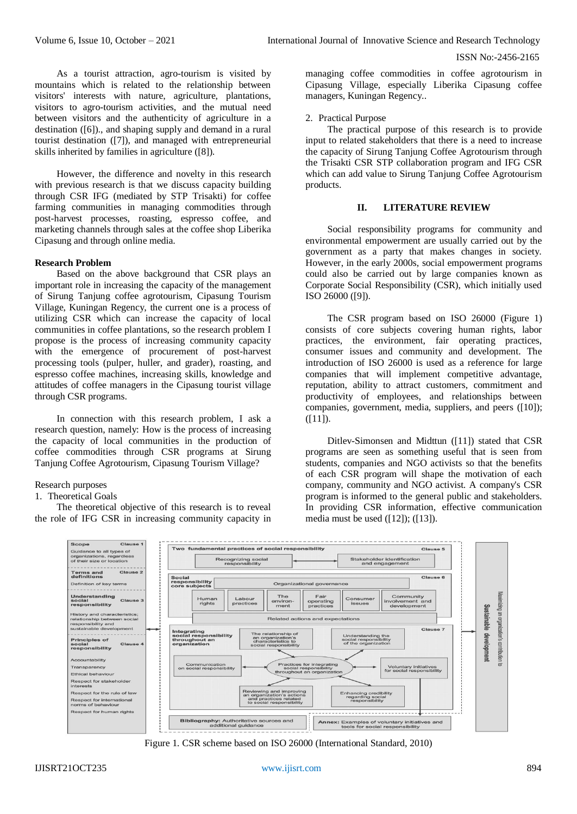As a tourist attraction, agro-tourism is visited by mountains which is related to the relationship between visitors' interests with nature, agriculture, plantations, visitors to agro-tourism activities, and the mutual need between visitors and the authenticity of agriculture in a destination ([6])., and shaping supply and demand in a rural tourist destination ([7]), and managed with entrepreneurial skills inherited by families in agriculture ([8]).

However, the difference and novelty in this research with previous research is that we discuss capacity building through CSR IFG (mediated by STP Trisakti) for coffee farming communities in managing commodities through post-harvest processes, roasting, espresso coffee, and marketing channels through sales at the coffee shop Liberika Cipasung and through online media.

## **Research Problem**

Based on the above background that CSR plays an important role in increasing the capacity of the management of Sirung Tanjung coffee agrotourism, Cipasung Tourism Village, Kuningan Regency, the current one is a process of utilizing CSR which can increase the capacity of local communities in coffee plantations, so the research problem I propose is the process of increasing community capacity with the emergence of procurement of post-harvest processing tools (pulper, huller, and grader), roasting, and espresso coffee machines, increasing skills, knowledge and attitudes of coffee managers in the Cipasung tourist village through CSR programs.

In connection with this research problem, I ask a research question, namely: How is the process of increasing the capacity of local communities in the production of coffee commodities through CSR programs at Sirung Tanjung Coffee Agrotourism, Cipasung Tourism Village?

#### Research purposes

#### 1. Theoretical Goals

The theoretical objective of this research is to reveal the role of IFG CSR in increasing community capacity in managing coffee commodities in coffee agrotourism in Cipasung Village, especially Liberika Cipasung coffee managers, Kuningan Regency..

## 2. Practical Purpose

The practical purpose of this research is to provide input to related stakeholders that there is a need to increase the capacity of Sirung Tanjung Coffee Agrotourism through the Trisakti CSR STP collaboration program and IFG CSR which can add value to Sirung Tanjung Coffee Agrotourism products.

## **II. LITERATURE REVIEW**

Social responsibility programs for community and environmental empowerment are usually carried out by the government as a party that makes changes in society. However, in the early 2000s, social empowerment programs could also be carried out by large companies known as Corporate Social Responsibility (CSR), which initially used ISO 26000 ([9]).

The CSR program based on ISO 26000 (Figure 1) consists of core subjects covering human rights, labor practices, the environment, fair operating practices, consumer issues and community and development. The introduction of ISO 26000 is used as a reference for large companies that will implement competitive advantage, reputation, ability to attract customers, commitment and productivity of employees, and relationships between companies, government, media, suppliers, and peers ([10]);  $(I11).$ 

Ditlev-Simonsen and Midttun ([11]) stated that CSR programs are seen as something useful that is seen from students, companies and NGO activists so that the benefits of each CSR program will shape the motivation of each company, community and NGO activist. A company's CSR program is informed to the general public and stakeholders. In providing CSR information, effective communication media must be used ([12]); ([13]).



Figure 1. CSR scheme based on ISO 26000 (International Standard, 2010)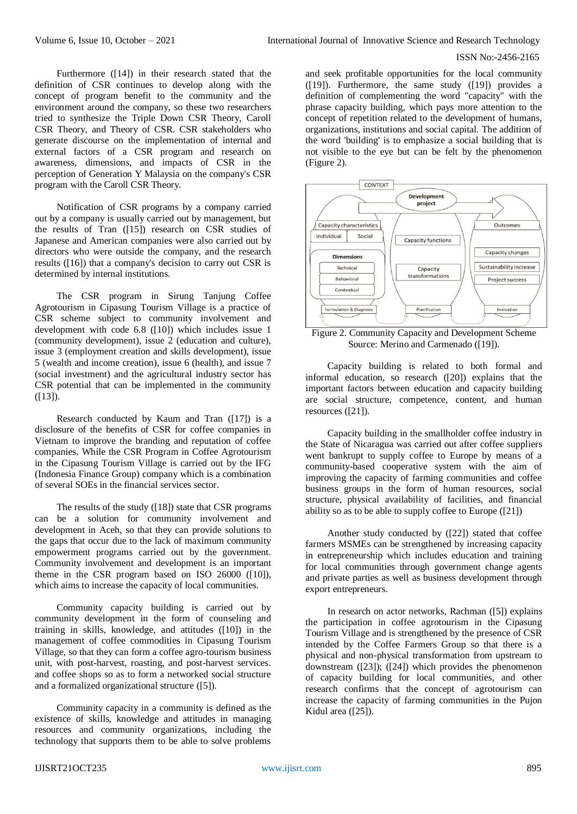Furthermore ([14]) in their research stated that the definition of CSR continues to develop along with the concept of program benefit to the community and the environment around the company, so these two researchers tried to synthesize the Triple Down CSR Theory, Caroll CSR Theory, and Theory of CSR. CSR stakeholders who generate discourse on the implementation of internal and external factors of a CSR program and research on awareness, dimensions, and impacts of CSR in the perception of Generation Y Malaysia on the company's CSR program with the Caroll CSR Theory.

Notification of CSR programs by a company carried out by a company is usually carried out by management, but the results of Tran ([15]) research on CSR studies of Japanese and American companies were also carried out by directors who were outside the company, and the research results ([16]) that a company's decision to carry out CSR is determined by internal institutions.

The CSR program in Sirung Tanjung Coffee Agrotourism in Cipasung Tourism Village is a practice of CSR scheme subject to community involvement and development with code 6.8 ([10]) which includes issue 1 (community development), issue 2 (education and culture), issue 3 (employment creation and skills development), issue 5 (wealth and income creation), issue 6 (health), and issue 7 (social investment) and the agricultural industry sector has CSR potential that can be implemented in the community  $([13]).$ 

Research conducted by Kaum and Tran ([17]) is a disclosure of the benefits of CSR for coffee companies in Vietnam to improve the branding and reputation of coffee companies. While the CSR Program in Coffee Agrotourism in the Cipasung Tourism Village is carried out by the IFG (Indonesia Finance Group) company which is a combination of several SOEs in the financial services sector.

The results of the study ([18]) state that CSR programs can be a solution for community involvement and development in Aceh, so that they can provide solutions to the gaps that occur due to the lack of maximum community empowerment programs carried out by the government. Community involvement and development is an important theme in the CSR program based on ISO 26000 ([10]), which aims to increase the capacity of local communities.

Community capacity building is carried out by community development in the form of counseling and training in skills, knowledge, and attitudes ([10]) in the management of coffee commodities in Cipasung Tourism Village, so that they can form a coffee agro-tourism business unit, with post-harvest, roasting, and post-harvest services. and coffee shops so as to form a networked social structure and a formalized organizational structure ([5]).

Community capacity in a community is defined as the existence of skills, knowledge and attitudes in managing resources and community organizations, including the technology that supports them to be able to solve problems

and seek profitable opportunities for the local community ([19]). Furthermore, the same study ([19]) provides a definition of complementing the word "capacity" with the phrase capacity building, which pays more attention to the concept of repetition related to the development of humans, organizations, institutions and social capital. The addition of the word 'building' is to emphasize a social building that is not visible to the eye but can be felt by the phenomenon (Figure 2).



Figure 2. Community Capacity and Development Scheme Source: Merino and Carmenado ([19]).

Capacity building is related to both formal and informal education, so research ([20]) explains that the important factors between education and capacity building are social structure, competence, content, and human resources ([21]).

Capacity building in the smallholder coffee industry in the State of Nicaragua was carried out after coffee suppliers went bankrupt to supply coffee to Europe by means of a community-based cooperative system with the aim of improving the capacity of farming communities and coffee business groups in the form of human resources, social structure, physical availability of facilities, and financial ability so as to be able to supply coffee to Europe ([21])

Another study conducted by ([22]) stated that coffee farmers MSMEs can be strengthened by increasing capacity in entrepreneurship which includes education and training for local communities through government change agents and private parties as well as business development through export entrepreneurs.

In research on actor networks, Rachman ([5]) explains the participation in coffee agrotourism in the Cipasung Tourism Village and is strengthened by the presence of CSR intended by the Coffee Farmers Group so that there is a physical and non-physical transformation from upstream to downstream ([23]); ([24]) which provides the phenomenon of capacity building for local communities, and other research confirms that the concept of agrotourism can increase the capacity of farming communities in the Pujon Kidul area ([25]).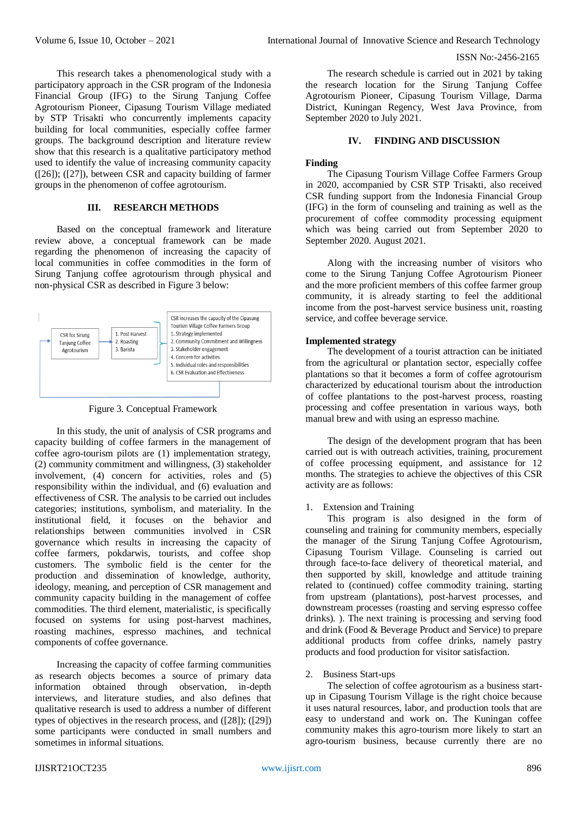This research takes a phenomenological study with a participatory approach in the CSR program of the Indonesia Financial Group (IFG) to the Sirung Tanjung Coffee Agrotourism Pioneer, Cipasung Tourism Village mediated by STP Trisakti who concurrently implements capacity building for local communities, especially coffee farmer groups. The background description and literature review show that this research is a qualitative participatory method used to identify the value of increasing community capacity ([26]); ([27]), between CSR and capacity building of farmer groups in the phenomenon of coffee agrotourism.

## **III. RESEARCH METHODS**

Based on the conceptual framework and literature review above, a conceptual framework can be made regarding the phenomenon of increasing the capacity of local communities in coffee commodities in the form of Sirung Tanjung coffee agrotourism through physical and non-physical CSR as described in Figure 3 below:



Figure 3. Conceptual Framework

In this study, the unit of analysis of CSR programs and capacity building of coffee farmers in the management of coffee agro-tourism pilots are (1) implementation strategy, (2) community commitment and willingness, (3) stakeholder involvement, (4) concern for activities, roles and (5) responsibility within the individual, and (6) evaluation and effectiveness of CSR. The analysis to be carried out includes categories; institutions, symbolism, and materiality. In the institutional field, it focuses on the behavior and relationships between communities involved in CSR governance which results in increasing the capacity of coffee farmers, pokdarwis, tourists, and coffee shop customers. The symbolic field is the center for the production and dissemination of knowledge, authority, ideology, meaning, and perception of CSR management and community capacity building in the management of coffee commodities. The third element, materialistic, is specifically focused on systems for using post-harvest machines, roasting machines, espresso machines, and technical components of coffee governance.

Increasing the capacity of coffee farming communities as research objects becomes a source of primary data information obtained through observation, in-depth interviews, and literature studies, and also defines that qualitative research is used to address a number of different types of objectives in the research process, and ([28]); ([29]) some participants were conducted in small numbers and sometimes in informal situations.

The research schedule is carried out in 2021 by taking the research location for the Sirung Tanjung Coffee Agrotourism Pioneer, Cipasung Tourism Village, Darma District, Kuningan Regency, West Java Province, from September 2020 to July 2021.

## **IV. FINDING AND DISCUSSION**

## **Finding**

The Cipasung Tourism Village Coffee Farmers Group in 2020, accompanied by CSR STP Trisakti, also received CSR funding support from the Indonesia Financial Group (IFG) in the form of counseling and training as well as the procurement of coffee commodity processing equipment which was being carried out from September 2020 to September 2020. August 2021.

Along with the increasing number of visitors who come to the Sirung Tanjung Coffee Agrotourism Pioneer and the more proficient members of this coffee farmer group community, it is already starting to feel the additional income from the post-harvest service business unit, roasting service, and coffee beverage service.

## **Implemented strategy**

The development of a tourist attraction can be initiated from the agricultural or plantation sector, especially coffee plantations so that it becomes a form of coffee agrotourism characterized by educational tourism about the introduction of coffee plantations to the post-harvest process, roasting processing and coffee presentation in various ways, both manual brew and with using an espresso machine.

The design of the development program that has been carried out is with outreach activities, training, procurement of coffee processing equipment, and assistance for 12 months. The strategies to achieve the objectives of this CSR activity are as follows:

## 1. Extension and Training

This program is also designed in the form of counseling and training for community members, especially the manager of the Sirung Tanjung Coffee Agrotourism, Cipasung Tourism Village. Counseling is carried out through face-to-face delivery of theoretical material, and then supported by skill, knowledge and attitude training related to (continued) coffee commodity training, starting from upstream (plantations), post-harvest processes, and downstream processes (roasting and serving espresso coffee drinks). ). The next training is processing and serving food and drink (Food & Beverage Product and Service) to prepare additional products from coffee drinks, namely pastry products and food production for visitor satisfaction.

## 2. Business Start-ups

The selection of coffee agrotourism as a business startup in Cipasung Tourism Village is the right choice because it uses natural resources, labor, and production tools that are easy to understand and work on. The Kuningan coffee community makes this agro-tourism more likely to start an agro-tourism business, because currently there are no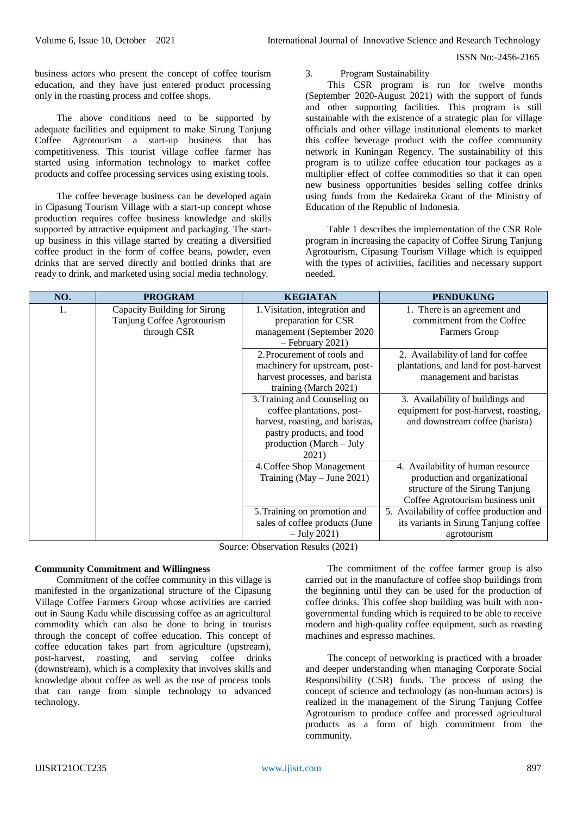business actors who present the concept of coffee tourism education, and they have just entered product processing only in the roasting process and coffee shops.

The above conditions need to be supported by adequate facilities and equipment to make Sirung Tanjung Coffee Agrotourism a start-up business that has competitiveness. This tourist village coffee farmer has started using information technology to market coffee products and coffee processing services using existing tools.

The coffee beverage business can be developed again in Cipasung Tourism Village with a start-up concept whose production requires coffee business knowledge and skills supported by attractive equipment and packaging. The startup business in this village started by creating a diversified coffee product in the form of coffee beans, powder, even drinks that are served directly and bottled drinks that are ready to drink, and marketed using social media technology.

3. Program Sustainability

This CSR program is run for twelve months (September 2020-August 2021) with the support of funds and other supporting facilities. This program is still sustainable with the existence of a strategic plan for village officials and other village institutional elements to market this coffee beverage product with the coffee community network in Kuningan Regency. The sustainability of this program is to utilize coffee education tour packages as a multiplier effect of coffee commodities so that it can open new business opportunities besides selling coffee drinks using funds from the Kedaireka Grant of the Ministry of Education of the Republic of Indonesia.

Table 1 describes the implementation of the CSR Role program in increasing the capacity of Coffee Sirung Tanjung Agrotourism, Cipasung Tourism Village which is equipped with the types of activities, facilities and necessary support needed.

| NO. | <b>PROGRAM</b>                                                            | <b>KEGIATAN</b>                                                                                                                                                  | <b>PENDUKUNG</b>                                                                                                                          |
|-----|---------------------------------------------------------------------------|------------------------------------------------------------------------------------------------------------------------------------------------------------------|-------------------------------------------------------------------------------------------------------------------------------------------|
| 1.  | Capacity Building for Sirung<br>Tanjung Coffee Agrotourism<br>through CSR | 1. Visitation, integration and<br>preparation for CSR<br>management (September 2020<br>$-$ February 2021)                                                        | 1. There is an agreement and<br>commitment from the Coffee<br>Farmers Group                                                               |
|     |                                                                           | 2. Procurement of tools and<br>machinery for upstream, post-<br>harvest processes, and barista<br>training (March 2021)                                          | 2. Availability of land for coffee<br>plantations, and land for post-harvest<br>management and baristas                                   |
|     |                                                                           | 3. Training and Counseling on<br>coffee plantations, post-<br>harvest, roasting, and baristas,<br>pastry products, and food<br>production (March – July<br>2021) | 3. Availability of buildings and<br>equipment for post-harvest, roasting,<br>and downstream coffee (barista)                              |
|     |                                                                           | 4. Coffee Shop Management<br>Training $(May - June 2021)$                                                                                                        | 4. Availability of human resource<br>production and organizational<br>structure of the Sirung Tanjung<br>Coffee Agrotourism business unit |
|     |                                                                           | 5. Training on promotion and<br>sales of coffee products (June<br>$-$ July 2021)<br>$\sim$ $\sim$                                                                | 5. Availability of coffee production and<br>its variants in Sirung Tanjung coffee<br>agrotourism                                          |

Source: Observation Results (2021)

## **Community Commitment and Willingness**

Commitment of the coffee community in this village is manifested in the organizational structure of the Cipasung Village Coffee Farmers Group whose activities are carried out in Saung Kadu while discussing coffee as an agricultural commodity which can also be done to bring in tourists through the concept of coffee education. This concept of coffee education takes part from agriculture (upstream), post-harvest, roasting, and serving coffee drinks (downstream), which is a complexity that involves skills and knowledge about coffee as well as the use of process tools that can range from simple technology to advanced technology.

The commitment of the coffee farmer group is also carried out in the manufacture of coffee shop buildings from the beginning until they can be used for the production of coffee drinks. This coffee shop building was built with nongovernmental funding which is required to be able to receive modern and high-quality coffee equipment, such as roasting machines and espresso machines.

The concept of networking is practiced with a broader and deeper understanding when managing Corporate Social Responsibility (CSR) funds. The process of using the concept of science and technology (as non-human actors) is realized in the management of the Sirung Tanjung Coffee Agrotourism to produce coffee and processed agricultural products as a form of high commitment from the community.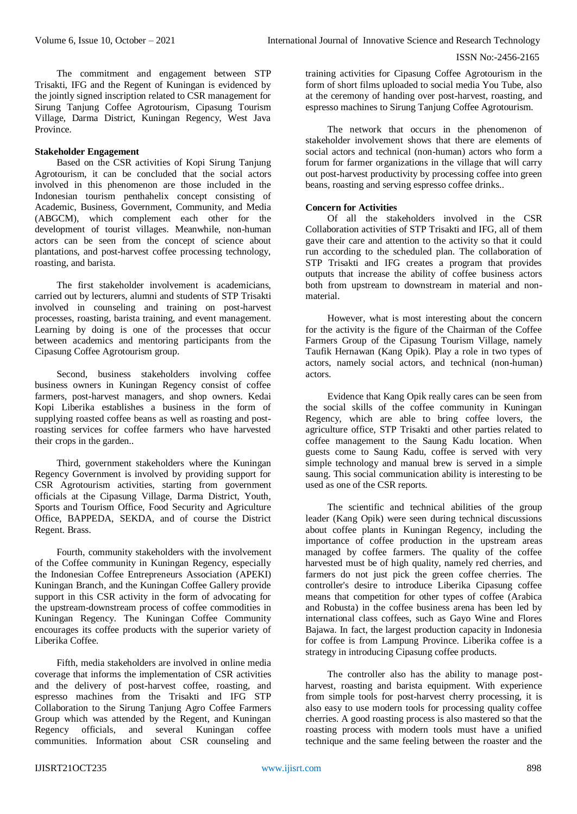The commitment and engagement between STP Trisakti, IFG and the Regent of Kuningan is evidenced by the jointly signed inscription related to CSR management for Sirung Tanjung Coffee Agrotourism, Cipasung Tourism Village, Darma District, Kuningan Regency, West Java Province.

#### **Stakeholder Engagement**

Based on the CSR activities of Kopi Sirung Tanjung Agrotourism, it can be concluded that the social actors involved in this phenomenon are those included in the Indonesian tourism penthahelix concept consisting of Academic, Business, Government, Community, and Media (ABGCM), which complement each other for the development of tourist villages. Meanwhile, non-human actors can be seen from the concept of science about plantations, and post-harvest coffee processing technology, roasting, and barista.

The first stakeholder involvement is academicians, carried out by lecturers, alumni and students of STP Trisakti involved in counseling and training on post-harvest processes, roasting, barista training, and event management. Learning by doing is one of the processes that occur between academics and mentoring participants from the Cipasung Coffee Agrotourism group.

Second, business stakeholders involving coffee business owners in Kuningan Regency consist of coffee farmers, post-harvest managers, and shop owners. Kedai Kopi Liberika establishes a business in the form of supplying roasted coffee beans as well as roasting and postroasting services for coffee farmers who have harvested their crops in the garden..

Third, government stakeholders where the Kuningan Regency Government is involved by providing support for CSR Agrotourism activities, starting from government officials at the Cipasung Village, Darma District, Youth, Sports and Tourism Office, Food Security and Agriculture Office, BAPPEDA, SEKDA, and of course the District Regent. Brass.

Fourth, community stakeholders with the involvement of the Coffee community in Kuningan Regency, especially the Indonesian Coffee Entrepreneurs Association (APEKI) Kuningan Branch, and the Kuningan Coffee Gallery provide support in this CSR activity in the form of advocating for the upstream-downstream process of coffee commodities in Kuningan Regency. The Kuningan Coffee Community encourages its coffee products with the superior variety of Liberika Coffee.

Fifth, media stakeholders are involved in online media coverage that informs the implementation of CSR activities and the delivery of post-harvest coffee, roasting, and espresso machines from the Trisakti and IFG STP Collaboration to the Sirung Tanjung Agro Coffee Farmers Group which was attended by the Regent, and Kuningan Regency officials, and several Kuningan coffee communities. Information about CSR counseling and

training activities for Cipasung Coffee Agrotourism in the form of short films uploaded to social media You Tube, also at the ceremony of handing over post-harvest, roasting, and espresso machines to Sirung Tanjung Coffee Agrotourism.

The network that occurs in the phenomenon of stakeholder involvement shows that there are elements of social actors and technical (non-human) actors who form a forum for farmer organizations in the village that will carry out post-harvest productivity by processing coffee into green beans, roasting and serving espresso coffee drinks..

#### **Concern for Activities**

Of all the stakeholders involved in the CSR Collaboration activities of STP Trisakti and IFG, all of them gave their care and attention to the activity so that it could run according to the scheduled plan. The collaboration of STP Trisakti and IFG creates a program that provides outputs that increase the ability of coffee business actors both from upstream to downstream in material and nonmaterial.

However, what is most interesting about the concern for the activity is the figure of the Chairman of the Coffee Farmers Group of the Cipasung Tourism Village, namely Taufik Hernawan (Kang Opik). Play a role in two types of actors, namely social actors, and technical (non-human) actors.

Evidence that Kang Opik really cares can be seen from the social skills of the coffee community in Kuningan Regency, which are able to bring coffee lovers, the agriculture office, STP Trisakti and other parties related to coffee management to the Saung Kadu location. When guests come to Saung Kadu, coffee is served with very simple technology and manual brew is served in a simple saung. This social communication ability is interesting to be used as one of the CSR reports.

The scientific and technical abilities of the group leader (Kang Opik) were seen during technical discussions about coffee plants in Kuningan Regency, including the importance of coffee production in the upstream areas managed by coffee farmers. The quality of the coffee harvested must be of high quality, namely red cherries, and farmers do not just pick the green coffee cherries. The controller's desire to introduce Liberika Cipasung coffee means that competition for other types of coffee (Arabica and Robusta) in the coffee business arena has been led by international class coffees, such as Gayo Wine and Flores Bajawa. In fact, the largest production capacity in Indonesia for coffee is from Lampung Province. Liberika coffee is a strategy in introducing Cipasung coffee products.

The controller also has the ability to manage postharvest, roasting and barista equipment. With experience from simple tools for post-harvest cherry processing, it is also easy to use modern tools for processing quality coffee cherries. A good roasting process is also mastered so that the roasting process with modern tools must have a unified technique and the same feeling between the roaster and the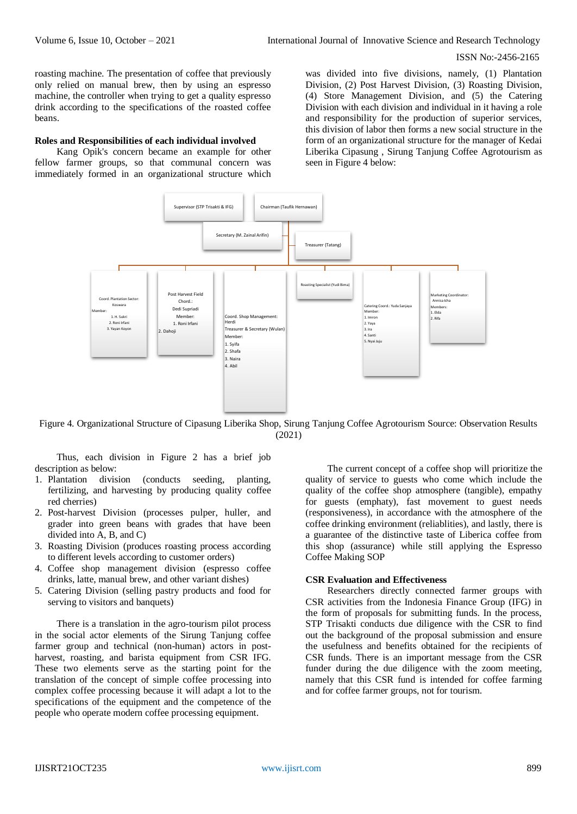roasting machine. The presentation of coffee that previously only relied on manual brew, then by using an espresso machine, the controller when trying to get a quality espresso drink according to the specifications of the roasted coffee beans.

#### **Roles and Responsibilities of each individual involved**

Kang Opik's concern became an example for other fellow farmer groups, so that communal concern was immediately formed in an organizational structure which

was divided into five divisions, namely, (1) Plantation Division, (2) Post Harvest Division, (3) Roasting Division, (4) Store Management Division, and (5) the Catering Division with each division and individual in it having a role and responsibility for the production of superior services, this division of labor then forms a new social structure in the form of an organizational structure for the manager of Kedai Liberika Cipasung , Sirung Tanjung Coffee Agrotourism as seen in Figure 4 below:



Figure 4. Organizational Structure of Cipasung Liberika Shop, Sirung Tanjung Coffee Agrotourism Source: Observation Results (2021)

Thus, each division in Figure 2 has a brief job description as below:

- 1. Plantation division (conducts seeding, planting, fertilizing, and harvesting by producing quality coffee red cherries)
- 2. Post-harvest Division (processes pulper, huller, and grader into green beans with grades that have been divided into A, B, and C)
- 3. Roasting Division (produces roasting process according to different levels according to customer orders)
- 4. Coffee shop management division (espresso coffee drinks, latte, manual brew, and other variant dishes)
- 5. Catering Division (selling pastry products and food for serving to visitors and banquets)

There is a translation in the agro-tourism pilot process in the social actor elements of the Sirung Tanjung coffee farmer group and technical (non-human) actors in postharvest, roasting, and barista equipment from CSR IFG. These two elements serve as the starting point for the translation of the concept of simple coffee processing into complex coffee processing because it will adapt a lot to the specifications of the equipment and the competence of the people who operate modern coffee processing equipment.

The current concept of a coffee shop will prioritize the quality of service to guests who come which include the quality of the coffee shop atmosphere (tangible), empathy for guests (emphaty), fast movement to guest needs (responsiveness), in accordance with the atmosphere of the coffee drinking environment (reliablities), and lastly, there is a guarantee of the distinctive taste of Liberica coffee from this shop (assurance) while still applying the Espresso Coffee Making SOP

## **CSR Evaluation and Effectiveness**

Researchers directly connected farmer groups with CSR activities from the Indonesia Finance Group (IFG) in the form of proposals for submitting funds. In the process, STP Trisakti conducts due diligence with the CSR to find out the background of the proposal submission and ensure the usefulness and benefits obtained for the recipients of CSR funds. There is an important message from the CSR funder during the due diligence with the zoom meeting, namely that this CSR fund is intended for coffee farming and for coffee farmer groups, not for tourism.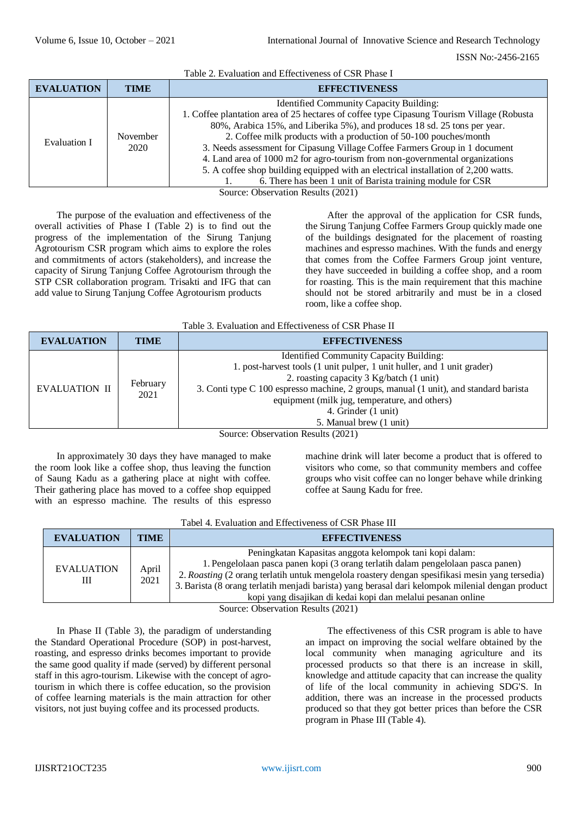#### Table 2. Evaluation and Effectiveness of CSR Phase I

| <b>EVALUATION</b> | <b>TIME</b>             | <b>EFFECTIVENESS</b>                                                                                                                                                                                                                                                                                                                                                                                                                                                                                                                                                                                               |
|-------------------|-------------------------|--------------------------------------------------------------------------------------------------------------------------------------------------------------------------------------------------------------------------------------------------------------------------------------------------------------------------------------------------------------------------------------------------------------------------------------------------------------------------------------------------------------------------------------------------------------------------------------------------------------------|
| Evaluation I      | <b>November</b><br>2020 | <b>Identified Community Capacity Building:</b><br>1. Coffee plantation area of 25 hectares of coffee type Cipasung Tourism Village (Robusta)<br>80%, Arabica 15%, and Liberika 5%), and produces 18 sd. 25 tons per year.<br>2. Coffee milk products with a production of 50-100 pouches/month<br>3. Needs assessment for Cipasung Village Coffee Farmers Group in 1 document<br>4. Land area of 1000 m2 for agro-tourism from non-governmental organizations<br>5. A coffee shop building equipped with an electrical installation of 2,200 watts.<br>6. There has been 1 unit of Barista training module for CSR |

Source: Observation Results (2021)

The purpose of the evaluation and effectiveness of the overall activities of Phase I (Table 2) is to find out the progress of the implementation of the Sirung Tanjung Agrotourism CSR program which aims to explore the roles and commitments of actors (stakeholders), and increase the capacity of Sirung Tanjung Coffee Agrotourism through the STP CSR collaboration program. Trisakti and IFG that can add value to Sirung Tanjung Coffee Agrotourism products

After the approval of the application for CSR funds, the Sirung Tanjung Coffee Farmers Group quickly made one of the buildings designated for the placement of roasting machines and espresso machines. With the funds and energy that comes from the Coffee Farmers Group joint venture, they have succeeded in building a coffee shop, and a room for roasting. This is the main requirement that this machine should not be stored arbitrarily and must be in a closed room, like a coffee shop.

## Table 3. Evaluation and Effectiveness of CSR Phase II

| <b>EVALUATION</b>    | <b>TIME</b>      | <b>EFFECTIVENESS</b>                                                                                                                                                                                                                                                                                                            |
|----------------------|------------------|---------------------------------------------------------------------------------------------------------------------------------------------------------------------------------------------------------------------------------------------------------------------------------------------------------------------------------|
| <b>EVALUATION II</b> | February<br>2021 | Identified Community Capacity Building:<br>1. post-harvest tools (1 unit pulper, 1 unit huller, and 1 unit grader)<br>2. roasting capacity 3 Kg/batch (1 unit)<br>3. Conti type C 100 espresso machine, 2 groups, manual (1 unit), and standard barista<br>equipment (milk jug, temperature, and others)<br>4. Grinder (1 unit) |
|                      |                  | 5. Manual brew (1 unit)                                                                                                                                                                                                                                                                                                         |

Source: Observation Results (2021)

In approximately 30 days they have managed to make the room look like a coffee shop, thus leaving the function of Saung Kadu as a gathering place at night with coffee. Their gathering place has moved to a coffee shop equipped with an espresso machine. The results of this espresso

machine drink will later become a product that is offered to visitors who come, so that community members and coffee groups who visit coffee can no longer behave while drinking coffee at Saung Kadu for free.

| Peningkatan Kapasitas anggota kelompok tani kopi dalam:<br>1. Pengelolaan pasca panen kopi (3 orang terlatih dalam pengelolaan pasca panen)<br><b>EVALUATION</b><br>April<br>2021<br>Ш | <b>EVALUATION</b> | <b>TIME</b> | <b>EFFECTIVENESS</b>                                                                                                                                                                               |  |
|----------------------------------------------------------------------------------------------------------------------------------------------------------------------------------------|-------------------|-------------|----------------------------------------------------------------------------------------------------------------------------------------------------------------------------------------------------|--|
| kopi yang disajikan di kedai kopi dan melalui pesanan online                                                                                                                           |                   |             | 2. Roasting (2 orang terlatih untuk mengelola roastery dengan spesifikasi mesin yang tersedia)<br>3. Barista (8 orang terlatih menjadi barista) yang berasal dari kelompok milenial dengan product |  |

Source: Observation Results (2021)

In Phase II (Table 3), the paradigm of understanding the Standard Operational Procedure (SOP) in post-harvest, roasting, and espresso drinks becomes important to provide the same good quality if made (served) by different personal staff in this agro-tourism. Likewise with the concept of agrotourism in which there is coffee education, so the provision of coffee learning materials is the main attraction for other visitors, not just buying coffee and its processed products.

The effectiveness of this CSR program is able to have an impact on improving the social welfare obtained by the local community when managing agriculture and its processed products so that there is an increase in skill, knowledge and attitude capacity that can increase the quality of life of the local community in achieving SDG'S. In addition, there was an increase in the processed products produced so that they got better prices than before the CSR program in Phase III (Table 4).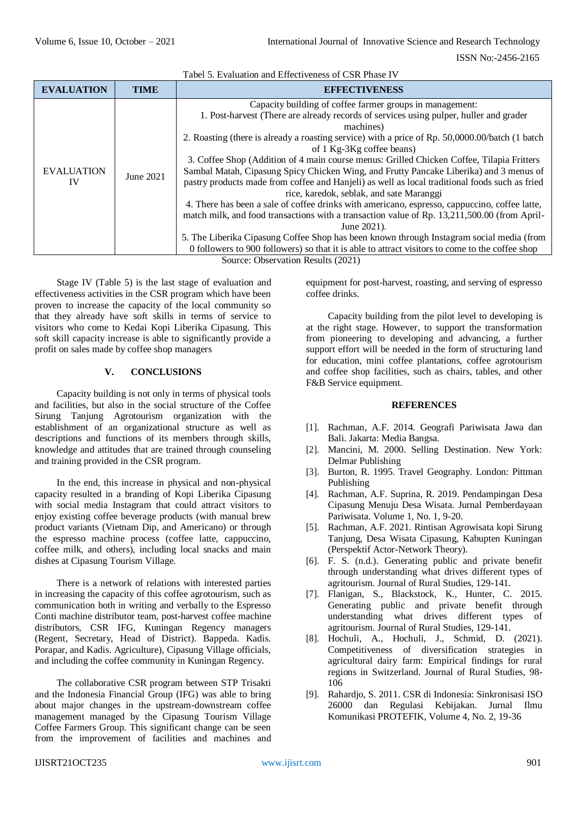| Tabel 5. Evaluation and Effectiveness of CSR Phase TV |                 |                                                                                                 |  |  |
|-------------------------------------------------------|-----------------|-------------------------------------------------------------------------------------------------|--|--|
| <b>EVALUATION</b>                                     | <b>TIME</b>     | <b>EFFECTIVENESS</b>                                                                            |  |  |
|                                                       |                 | Capacity building of coffee farmer groups in management:                                        |  |  |
|                                                       |                 | 1. Post-harvest (There are already records of services using pulper, huller and grader          |  |  |
|                                                       |                 | machines)                                                                                       |  |  |
|                                                       |                 | 2. Roasting (there is already a roasting service) with a price of Rp. 50,0000.00/batch (1 batch |  |  |
|                                                       |                 | of 1 Kg-3Kg coffee beans)                                                                       |  |  |
|                                                       |                 | 3. Coffee Shop (Addition of 4 main course menus: Grilled Chicken Coffee, Tilapia Fritters       |  |  |
| <b>EVALUATION</b>                                     | June 2021<br>IV | Sambal Matah, Cipasung Spicy Chicken Wing, and Frutty Pancake Liberika) and 3 menus of          |  |  |
|                                                       |                 | pastry products made from coffee and Hanjeli) as well as local traditional foods such as fried  |  |  |
|                                                       |                 |                                                                                                 |  |  |

Tabel 5. Evaluation and Effectiveness of CSR Phase IV

rice, karedok, seblak, and sate Maranggi 4. There has been a sale of coffee drinks with americano, espresso, cappuccino, coffee latte, match milk, and food transactions with a transaction value of Rp. 13,211,500.00 (from April-June 2021). 5. The Liberika Cipasung Coffee Shop has been known through Instagram social media (from 0 followers to 900 followers) so that it is able to attract visitors to come to the coffee shop

Source: Observation Results (2021)

Stage IV (Table 5) is the last stage of evaluation and effectiveness activities in the CSR program which have been proven to increase the capacity of the local community so that they already have soft skills in terms of service to visitors who come to Kedai Kopi Liberika Cipasung. This soft skill capacity increase is able to significantly provide a profit on sales made by coffee shop managers

# **V. CONCLUSIONS**

Capacity building is not only in terms of physical tools and facilities, but also in the social structure of the Coffee Sirung Tanjung Agrotourism organization with the establishment of an organizational structure as well as descriptions and functions of its members through skills, knowledge and attitudes that are trained through counseling and training provided in the CSR program.

In the end, this increase in physical and non-physical capacity resulted in a branding of Kopi Liberika Cipasung with social media Instagram that could attract visitors to enjoy existing coffee beverage products (with manual brew product variants (Vietnam Dip, and Americano) or through the espresso machine process (coffee latte, cappuccino, coffee milk, and others), including local snacks and main dishes at Cipasung Tourism Village.

There is a network of relations with interested parties in increasing the capacity of this coffee agrotourism, such as communication both in writing and verbally to the Espresso Conti machine distributor team, post-harvest coffee machine distributors, CSR IFG, Kuningan Regency managers (Regent, Secretary, Head of District). Bappeda. Kadis. Porapar, and Kadis. Agriculture), Cipasung Village officials, and including the coffee community in Kuningan Regency.

The collaborative CSR program between STP Trisakti and the Indonesia Financial Group (IFG) was able to bring about major changes in the upstream-downstream coffee management managed by the Cipasung Tourism Village Coffee Farmers Group. This significant change can be seen from the improvement of facilities and machines and equipment for post-harvest, roasting, and serving of espresso coffee drinks.

Capacity building from the pilot level to developing is at the right stage. However, to support the transformation from pioneering to developing and advancing, a further support effort will be needed in the form of structuring land for education, mini coffee plantations, coffee agrotourism and coffee shop facilities, such as chairs, tables, and other F&B Service equipment.

## **REFERENCES**

- [1]. Rachman, A.F. 2014. Geografi Pariwisata Jawa dan Bali. Jakarta: Media Bangsa.
- [2]. Mancini, M. 2000. Selling Destination. New York: Delmar Publishing
- [3]. Burton, R. 1995. Travel Geography. London: Pittman Publishing
- [4]. Rachman, A.F. Suprina, R. 2019. Pendampingan Desa Cipasung Menuju Desa Wisata. Jurnal Pemberdayaan Pariwisata. Volume 1, No. 1, 9-20.
- [5]. Rachman, A.F. 2021. Rintisan Agrowisata kopi Sirung Tanjung, Desa Wisata Cipasung, Kabupten Kuningan (Perspektif Actor-Network Theory).
- [6]. F. S. (n.d.). Generating public and private benefit through understanding what drives different types of agritourism. Journal of Rural Studies, 129-141.
- [7]. Flanigan, S., Blackstock, K., Hunter, C. 2015. Generating public and private benefit through understanding what drives different types of agritourism. Journal of Rural Studies, 129-141.
- [8]. Hochuli, A., Hochuli, J., Schmid, D. (2021). Competitiveness of diversification strategies in agricultural dairy farm: Empirical findings for rural regions in Switzerland. Journal of Rural Studies, 98- 106
- [9]. Rahardjo, S. 2011. CSR di Indonesia: Sinkronisasi ISO 26000 dan Regulasi Kebijakan. Jurnal Ilmu Komunikasi PROTEFIK, Volume 4, No. 2, 19-36